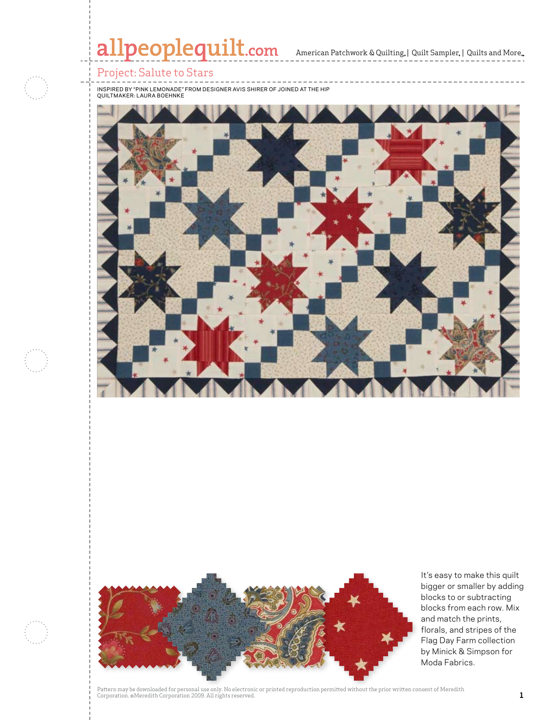

 $\mathbb{R}$  and  $\mathbb{R}$  are particular in  $\mathbb{R}$  and  $\mathbb{R}$ 



It's easy to make this quilt bigger or smaller by adding blocks to or subtracting blocks from each row. Mix and match the prints, florals, and stripes of the Flag Day Farm collection by Minick & Simpson for Moda Fabrics.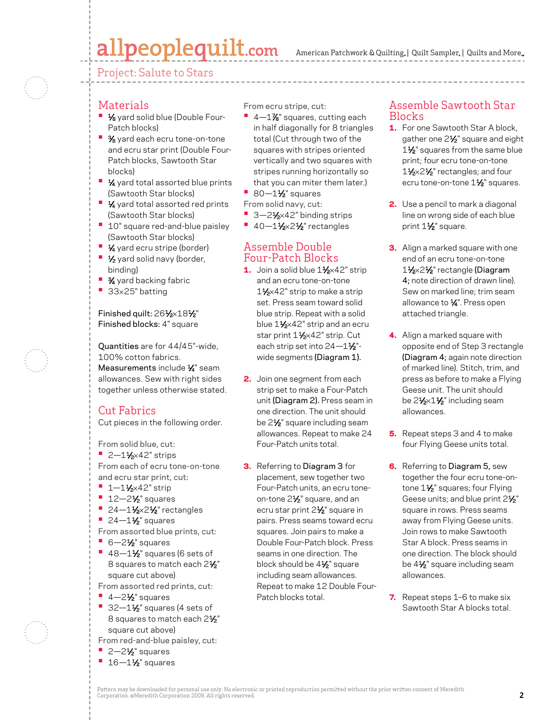# allpeoplequilt.com

Project: Salute to Stars

### Materials

- **<sup>•</sup>** 1⁄8 yard solid blue (Double Four-Patch blocks)
- <sup>•</sup> 3/<sub>8</sub> yard each ecru tone-on-tone and ecru star print (Double Four-Patch blocks, Sawtooth Star blocks)
- **1⁄4** yard total assorted blue prints (Sawtooth Star blocks)
- **1⁄4** yard total assorted red prints (Sawtooth Star blocks)
- <sup>1</sup> 10" square red-and-blue paisley (Sawtooth Star blocks)
- **1⁄4** yard ecru stripe (border)
- **1/<sub>2</sub>** yard solid navy (border, binding)
- **3⁄4** yard backing fabric
- **•**  <sup>33</sup>×25" batting

#### Finished quilt: 261⁄2×181⁄2" Finished blocks: 4" square

Quantities are for 44/45"-wide, 100% cotton fabrics. Measurements include 1/4" seam allowances. Sew with right sides together unless otherwise stated.

# Cut Fabrics

Cut pieces in the following order.

From solid blue, cut: **•** 2-1½×42" strips

- From each of ecru tone-on-tone and ecru star print, cut:
- **•** 1–11⁄2×42" strip
- **•** 12-2<sup>1</sup>/<sub>2</sub>" squares
- **24-11/2×21/2** rectangles
- **•** 24-1½" squares
- From assorted blue prints, cut: **• 6—2½** squares
- 
- **•** 48-1½" squares (6 sets of 8 squares to match each 2<sup>1/2</sup> square cut above)
- From assorted red prints, cut:
- **•** 4-2<sup>1</sup>⁄<sub>2</sub>" squares
- **•** 32-1½" squares (4 sets of 8 squares to match each 2<sup>1/2</sup> square cut above)
- From red-and-blue paisley, cut:
- **•** 2-2<sup>1</sup>/<sub>2</sub>" squares
- **•** 16–1½" squares

From ecru stripe, cut:

- **<sup>•</sup>** 4-1% squares, cutting each in half diagonally for 8 triangles total (Cut through two of the squares with stripes oriented vertically and two squares with stripes running horizontally so that you can miter them later.)
- **80—1½** squares
- From solid navy, cut:
- 3-21⁄<sub>2</sub>×42" binding strips
- **•** 40-11/<sub>2</sub>×21/<sub>2</sub>" rectangles

### Assemble Double Four-Patch Blocks

- 1. Join a solid blue 1½×42" strip and an ecru tone-on-tone 1<sup>1</sup>⁄<sub>2</sub>×42" strip to make a strip set. Press seam toward solid blue strip. Repeat with a solid blue 11⁄2×42" strip and an ecru star print 11⁄2×42" strip. Cut each strip set into  $24 - 1\frac{1}{2}$ "wide segments (Diagram 1).
- 2. Join one segment from each strip set to make a Four-Patch unit (Diagram 2). Press seam in one direction. The unit should be 2<sup>1</sup>/<sub>2</sub>" square including seam allowances. Repeat to make 24 Four-Patch units total.
- **3.** Referring to Diagram 3 for placement, sew together two Four-Patch units, an ecru toneon-tone 21⁄2" square, and an ecru star print 21⁄2" square in pairs. Press seams toward ecru squares. Join pairs to make a Double Four-Patch block. Press seams in one direction. The block should be 41⁄2" square including seam allowances. Repeat to make 12 Double Four-Patch blocks total.

### Assemble Sawtooth Star Blocks

- **1.** For one Sawtooth Star A block, gather one 21/2" square and eight 1<sup>1/2</sup> squares from the same blue print; four ecru tone-on-tone 1<sup>1</sup>/<sub>2</sub>×2<sup>1</sup>/<sub>2</sub>" rectangles; and four ecru tone-on-tone 1<sup>1/2</sup> squares.
- **2.** Use a pencil to mark a diagonal line on wrong side of each blue print 1<sup>1/2</sup>" square.
- **3.** Align a marked square with one end of an ecru tone-on-tone 11⁄2×21⁄2" rectangle (Diagram 4; note direction of drawn line). Sew on marked line; trim seam allowance to  $\frac{1}{4}$ ". Press open attached triangle.
- 4. Align a marked square with opposite end of Step 3 rectangle (Diagram 4; again note direction of marked line). Stitch, trim, and press as before to make a Flying Geese unit. The unit should be 21⁄2×11⁄2" including seam allowances.
- 5. Repeat steps 3 and 4 to make four Flying Geese units total.
- 6. Referring to Diagram 5, sew together the four ecru tone-ontone 1<sup>1/2</sup> squares; four Flying Geese units; and blue print 21/2" square in rows. Press seams away from Flying Geese units. Join rows to make Sawtooth Star A block. Press seams in one direction. The block should be 4<sup>1</sup>/<sub>2</sub>" square including seam allowances.
- 7. Repeat steps 1-6 to make six Sawtooth Star A blocks total.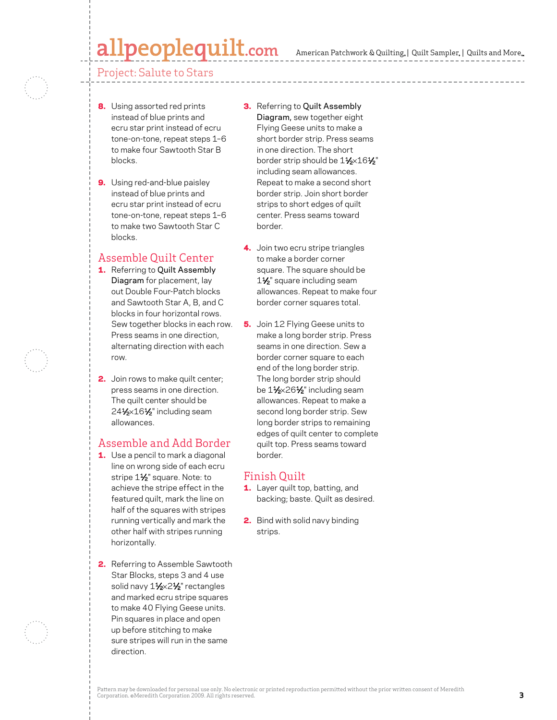# Ipeoplequilt.com

#### Project: Salute to Stars

- 8. Using assorted red prints instead of blue prints and ecru star print instead of ecru tone-on-tone, repeat steps 1–6 to make four Sawtooth Star B blocks.
- 9. Using red-and-blue paisley instead of blue prints and ecru star print instead of ecru tone-on-tone, repeat steps 1–6 to make two Sawtooth Star C blocks.

### Assemble Quilt Center

- 1. Referring to Quilt Assembly Diagram for placement, lay out Double Four-Patch blocks and Sawtooth Star A, B, and C blocks in four horizontal rows. Sew together blocks in each row. Press seams in one direction, alternating direction with each row.
- **2.** Join rows to make quilt center; press seams in one direction. The quilt center should be  $24\frac{1}{2}\times16\frac{1}{2}$ " including seam allowances.

# Assemble and Add Border

- **1.** Use a pencil to mark a diagonal line on wrong side of each ecru stripe 11/2" square. Note: to achieve the stripe effect in the featured quilt, mark the line on half of the squares with stripes running vertically and mark the other half with stripes running horizontally.
- 2. Referring to Assemble Sawtooth Star Blocks, steps 3 and 4 use solid navy 11⁄2×21⁄2" rectangles and marked ecru stripe squares to make 40 Flying Geese units. Pin squares in place and open up before stitching to make sure stripes will run in the same direction.
- **3.** Referring to Quilt Assembly Diagram, sew together eight Flying Geese units to make a short border strip. Press seams in one direction. The short border strip should be  $1\frac{1}{2} \times 16\frac{1}{2}$ " including seam allowances. Repeat to make a second short border strip. Join short border strips to short edges of quilt center. Press seams toward border.
- 4. Join two ecru stripe triangles to make a border corner square. The square should be 1<sup>1/2</sup> square including seam allowances. Repeat to make four border corner squares total.
- **5.** Join 12 Flying Geese units to make a long border strip. Press seams in one direction. Sew a border corner square to each end of the long border strip. The long border strip should be 11⁄2×261⁄2" including seam allowances. Repeat to make a second long border strip. Sew long border strips to remaining edges of quilt center to complete quilt top. Press seams toward border.

# Finish Quilt

- 1. Layer quilt top, batting, and backing; baste. Quilt as desired.
- 2. Bind with solid navy binding strips.